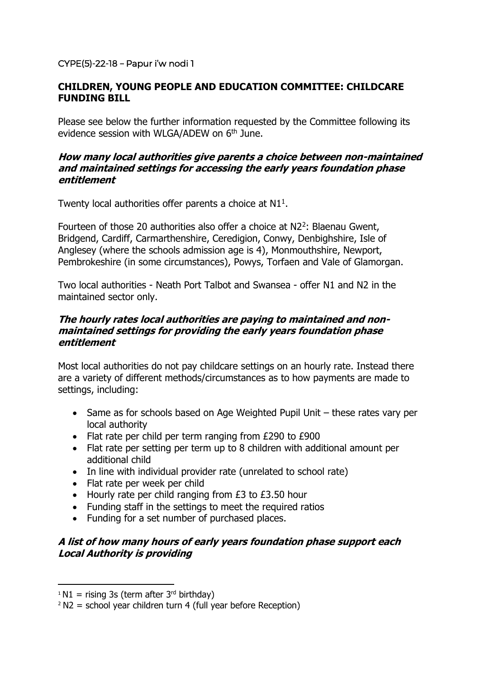## CYPE(5)-22-18 – Papur i'w nodi 1

## **CHILDREN, YOUNG PEOPLE AND EDUCATION COMMITTEE: CHILDCARE FUNDING BILL**

Please see below the further information requested by the Committee following its evidence session with WLGA/ADEW on 6<sup>th</sup> June.

#### **How many local authorities give parents a choice between non-maintained and maintained settings for accessing the early years foundation phase entitlement**

Twenty local authorities offer parents a choice at  $N1<sup>1</sup>$ .

Fourteen of those 20 authorities also offer a choice at  $N2^2$ : Blaenau Gwent, Bridgend, Cardiff, Carmarthenshire, Ceredigion, Conwy, Denbighshire, Isle of Anglesey (where the schools admission age is 4), Monmouthshire, Newport, Pembrokeshire (in some circumstances), Powys, Torfaen and Vale of Glamorgan.

Two local authorities - Neath Port Talbot and Swansea - offer N1 and N2 in the maintained sector only.

## **The hourly rates local authorities are paying to maintained and nonmaintained settings for providing the early years foundation phase entitlement**

Most local authorities do not pay childcare settings on an hourly rate. Instead there are a variety of different methods/circumstances as to how payments are made to settings, including:

- Same as for schools based on Age Weighted Pupil Unit these rates vary per local authority
- Flat rate per child per term ranging from £290 to £900
- Flat rate per setting per term up to 8 children with additional amount per additional child
- In line with individual provider rate (unrelated to school rate)
- Flat rate per week per child
- Hourly rate per child ranging from £3 to £3.50 hour
- Funding staff in the settings to meet the required ratios
- Funding for a set number of purchased places.

# **A list of how many hours of early years foundation phase support each Local Authority is providing**

**.** 

 $1 N1$  = rising 3s (term after 3<sup>rd</sup> birthday)

 $2$  N2 = school year children turn 4 (full year before Reception)